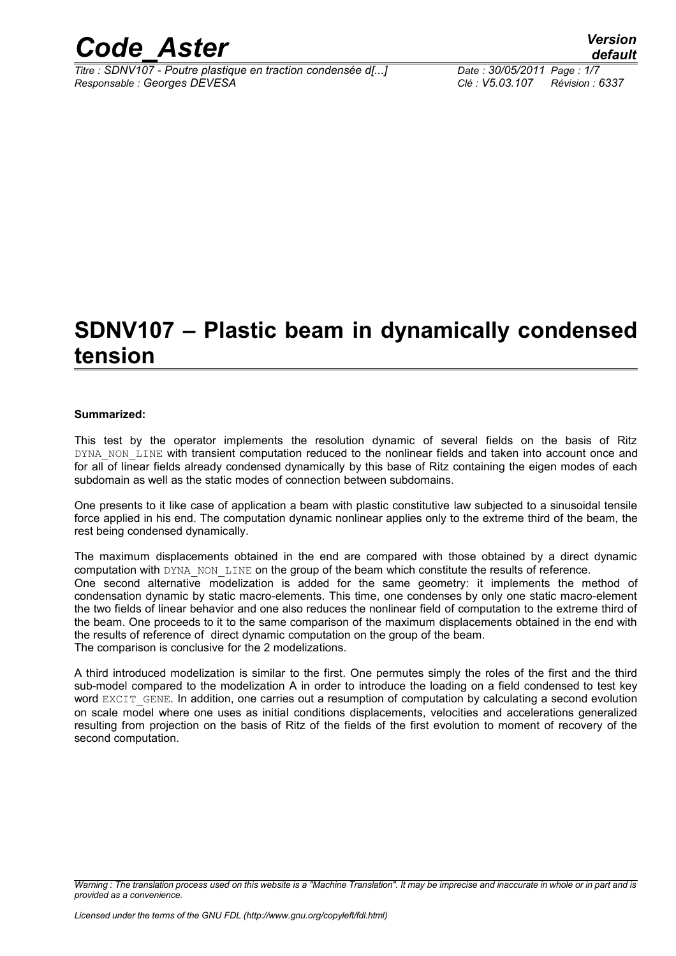

*Titre : SDNV107 - Poutre plastique en traction condensée d[...] Date : 30/05/2011 Page : 1/7 Responsable : Georges DEVESA Clé : V5.03.107 Révision : 6337*

## **SDNV107 – Plastic beam in dynamically condensed tension**

#### **Summarized:**

This test by the operator implements the resolution dynamic of several fields on the basis of Ritz DYNA\_NON\_LINE with transient computation reduced to the nonlinear fields and taken into account once and for all of linear fields already condensed dynamically by this base of Ritz containing the eigen modes of each subdomain as well as the static modes of connection between subdomains.

One presents to it like case of application a beam with plastic constitutive law subjected to a sinusoidal tensile force applied in his end. The computation dynamic nonlinear applies only to the extreme third of the beam, the rest being condensed dynamically.

The maximum displacements obtained in the end are compared with those obtained by a direct dynamic computation with DYNA\_NON\_LINE on the group of the beam which constitute the results of reference. One second alternative modelization is added for the same geometry: it implements the method of condensation dynamic by static macro-elements. This time, one condenses by only one static macro-element the two fields of linear behavior and one also reduces the nonlinear field of computation to the extreme third of the beam. One proceeds to it to the same comparison of the maximum displacements obtained in the end with the results of reference of direct dynamic computation on the group of the beam. The comparison is conclusive for the 2 modelizations.

A third introduced modelization is similar to the first. One permutes simply the roles of the first and the third sub-model compared to the modelization A in order to introduce the loading on a field condensed to test key word EXCIT GENE. In addition, one carries out a resumption of computation by calculating a second evolution on scale model where one uses as initial conditions displacements, velocities and accelerations generalized resulting from projection on the basis of Ritz of the fields of the first evolution to moment of recovery of the second computation.

*Warning : The translation process used on this website is a "Machine Translation". It may be imprecise and inaccurate in whole or in part and is provided as a convenience.*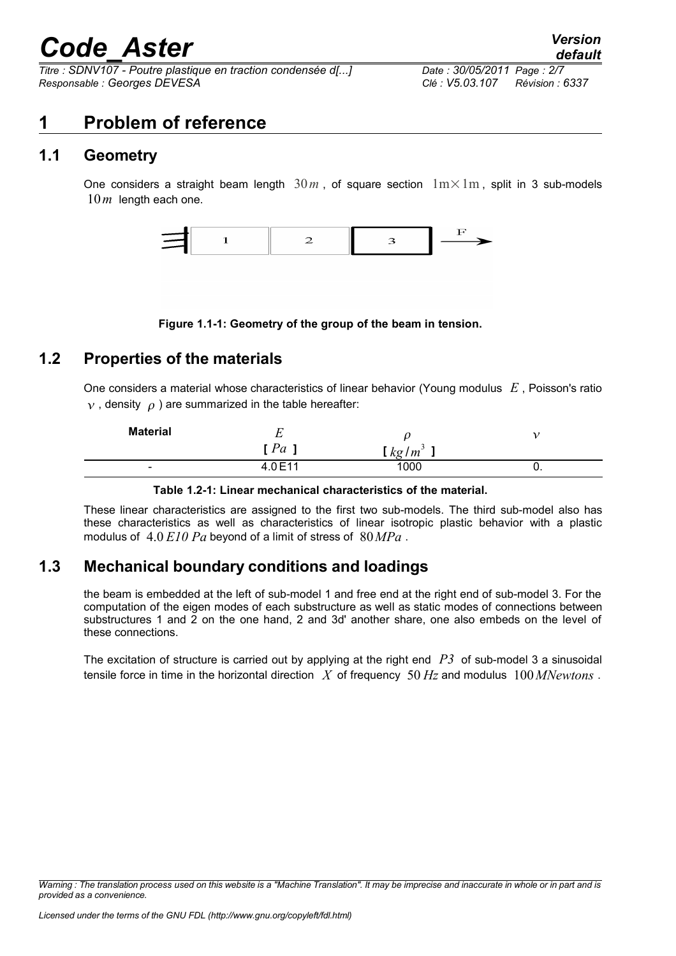*Titre : SDNV107 - Poutre plastique en traction condensée d[...] Date : 30/05/2011 Page : 2/7 Responsable : Georges DEVESA Clé : V5.03.107 Révision : 6337*

### **1 Problem of reference**

### **1.1 Geometry**

One considers a straight beam length  $30m$ , of square section  $1m \times 1m$ , split in 3 sub-models 10*m* length each one.



**Figure 1.1-1: Geometry of the group of the beam in tension.**

### **1.2 Properties of the materials**

One considers a material whose characteristics of linear behavior (Young modulus *E* , Poisson's ratio  $v$ , density  $\theta$ ) are summarized in the table hereafter:

| <b>Material</b>          | ∸       |                   |  |
|--------------------------|---------|-------------------|--|
|                          | [Pa]    | kg/m <sup>3</sup> |  |
| $\overline{\phantom{a}}$ | 4.0 E11 | 000               |  |

#### **Table 1.2-1: Linear mechanical characteristics of the material.**

These linear characteristics are assigned to the first two sub-models. The third sub-model also has these characteristics as well as characteristics of linear isotropic plastic behavior with a plastic modulus of 4.0 *E10 Pa* beyond of a limit of stress of 80*MPa* .

### **1.3 Mechanical boundary conditions and loadings**

the beam is embedded at the left of sub-model 1 and free end at the right end of sub-model 3. For the computation of the eigen modes of each substructure as well as static modes of connections between substructures 1 and 2 on the one hand, 2 and 3d' another share, one also embeds on the level of these connections.

The excitation of structure is carried out by applying at the right end *P3* of sub-model 3 a sinusoidal tensile force in time in the horizontal direction *X* of frequency 50 *Hz* and modulus 100*MNewtons* .

*Warning : The translation process used on this website is a "Machine Translation". It may be imprecise and inaccurate in whole or in part and is provided as a convenience.*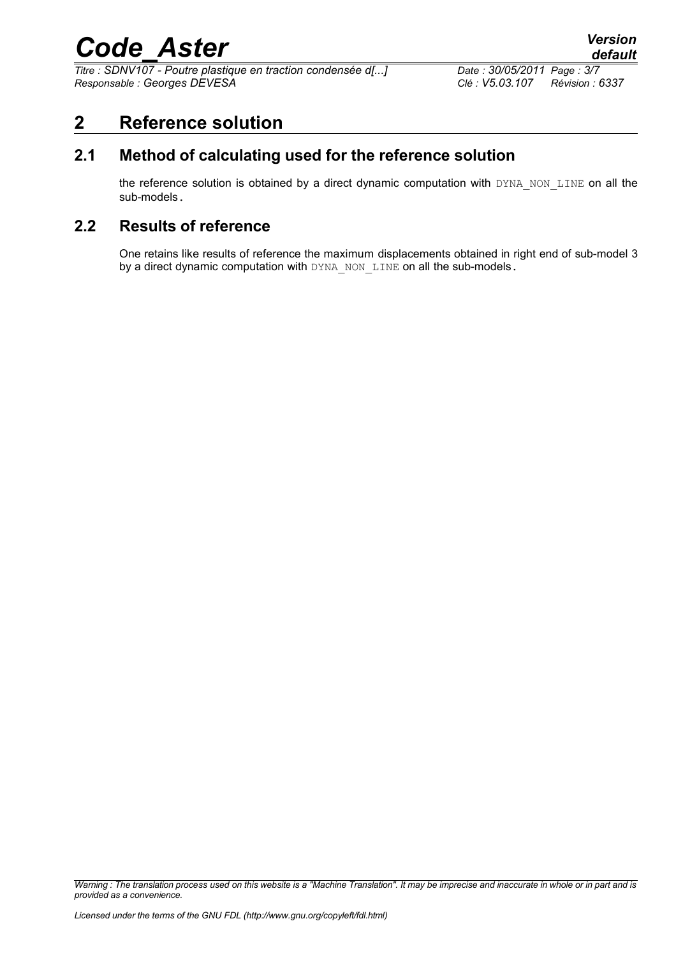*Titre : SDNV107 - Poutre plastique en traction condensée d[...] Date : 30/05/2011 Page : 3/7 Responsable : Georges DEVESA Clé : V5.03.107 Révision : 6337*

### **2 Reference solution**

### **2.1 Method of calculating used for the reference solution**

the reference solution is obtained by a direct dynamic computation with DYNA\_NON\_LINE on all the sub-models.

### **2.2 Results of reference**

One retains like results of reference the maximum displacements obtained in right end of sub-model 3 by a direct dynamic computation with DYNA\_NON\_LINE on all the sub-models.

*Warning : The translation process used on this website is a "Machine Translation". It may be imprecise and inaccurate in whole or in part and is provided as a convenience.*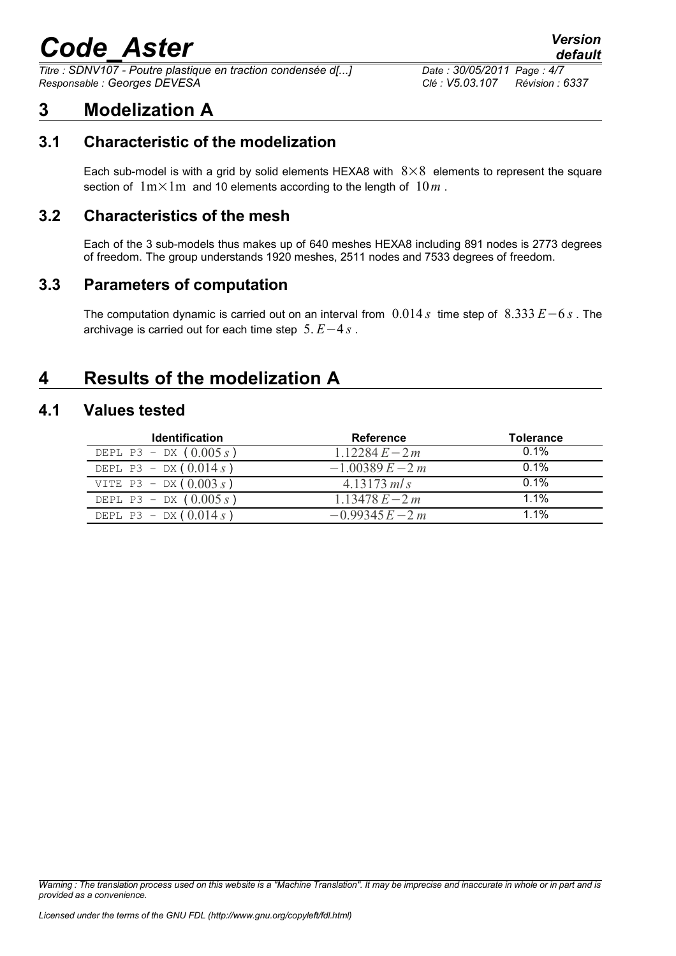*Titre : SDNV107 - Poutre plastique en traction condensée d[...] Date : 30/05/2011 Page : 4/7 Responsable : Georges DEVESA Clé : V5.03.107 Révision : 6337*

## **3 Modelization A**

### **3.1 Characteristic of the modelization**

Each sub-model is with a grid by solid elements HEXA8 with  $8\times8$  elements to represent the square section of  $1m \times 1m$  and 10 elements according to the length of  $10m$ .

### **3.2 Characteristics of the mesh**

Each of the 3 sub-models thus makes up of 640 meshes HEXA8 including 891 nodes is 2773 degrees of freedom. The group understands 1920 meshes, 2511 nodes and 7533 degrees of freedom.

### **3.3 Parameters of computation**

The computation dynamic is carried out on an interval from 0.014 *s* time step of 8.333 *E*−6 *s* . The archivage is carried out for each time step 5. *E*−4 *s* .

### **4 Results of the modelization A**

#### **4.1 Values tested**

| <b>Identification</b>    | <b>Reference</b>   | <b>Tolerance</b> |
|--------------------------|--------------------|------------------|
| DEPL P3 - DX $(0.005 s)$ | $1.12284E - 2m$    | 0.1%             |
| DEPL P3 - DX $(0.014 s)$ | $-1.00389 E - 2 m$ | $0.1\%$          |
| VITE P3 - DX $(0.003 s)$ | 4.13173 m/s        | $0.1\%$          |
| DEPL P3 - DX $(0.005 s)$ | $1.13478 E - 2m$   | 1.1%             |
| DEPL P3 - DX $(0.014 s)$ | $-0.99345E - 2m$   | $1.1\%$          |

*Warning : The translation process used on this website is a "Machine Translation". It may be imprecise and inaccurate in whole or in part and is provided as a convenience.*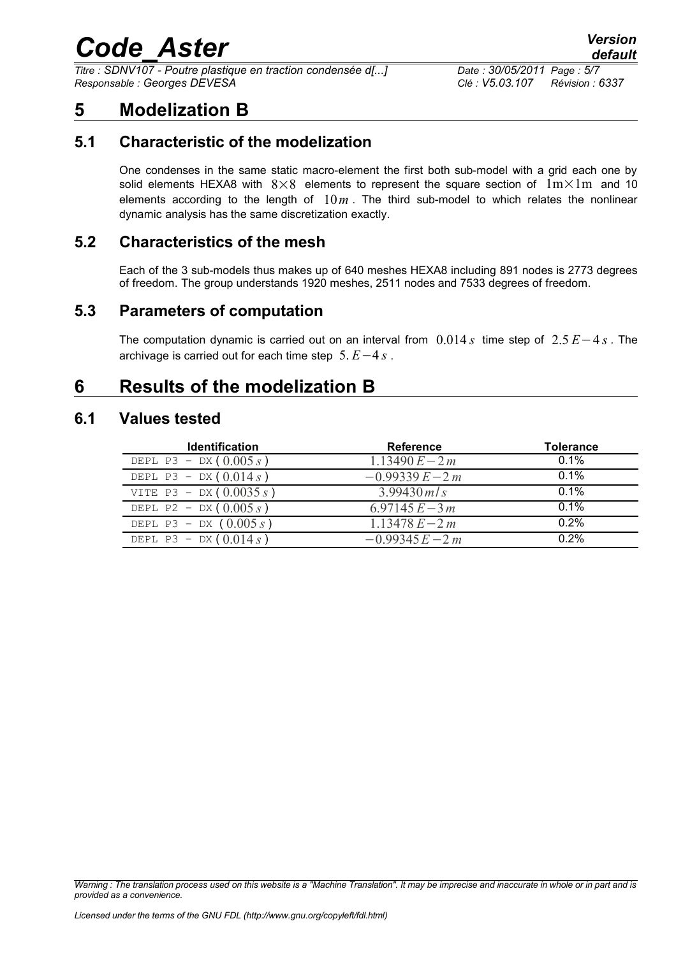*Titre : SDNV107 - Poutre plastique en traction condensée d[...] Date : 30/05/2011 Page : 5/7 Responsable : Georges DEVESA Clé : V5.03.107 Révision : 6337*

### **5 Modelization B**

### **5.1 Characteristic of the modelization**

One condenses in the same static macro-element the first both sub-model with a grid each one by solid elements HEXA8 with  $8\times8$  elements to represent the square section of  $1m\times1m$  and 10 elements according to the length of  $10m$ . The third sub-model to which relates the nonlinear dynamic analysis has the same discretization exactly.

### **5.2 Characteristics of the mesh**

Each of the 3 sub-models thus makes up of 640 meshes HEXA8 including 891 nodes is 2773 degrees of freedom. The group understands 1920 meshes, 2511 nodes and 7533 degrees of freedom.

### **5.3 Parameters of computation**

The computation dynamic is carried out on an interval from 0.014 *s* time step of 2.5 *E*−4 *s* . The archivage is carried out for each time step 5. *E*−4 *s* .

### **6 Results of the modelization B**

#### **6.1 Values tested**

| <b>Identification</b>     | <b>Reference</b>  | <b>Tolerance</b> |
|---------------------------|-------------------|------------------|
| DEPL P3 - DX $(0.005 s)$  | $1.13490 E - 2m$  | $0.1\%$          |
| DEPL P3 - DX $(0.014 s)$  | $-0.99339 E - 2m$ | $0.1\%$          |
| VITE P3 - DX $(0.0035 s)$ | $3.99430$ m/s     | $0.1\%$          |
| DEPL P2 - DX $(0.005 s)$  | $6.97145 E - 3m$  | $0.1\%$          |
| DEPL P3 - DX $(0.005 s)$  | $1.13478 E - 2m$  | 0.2%             |
| DEPL P3 - DX $(0.014 s)$  | $-0.99345E - 2m$  | $0.2\%$          |

*Warning : The translation process used on this website is a "Machine Translation". It may be imprecise and inaccurate in whole or in part and is provided as a convenience.*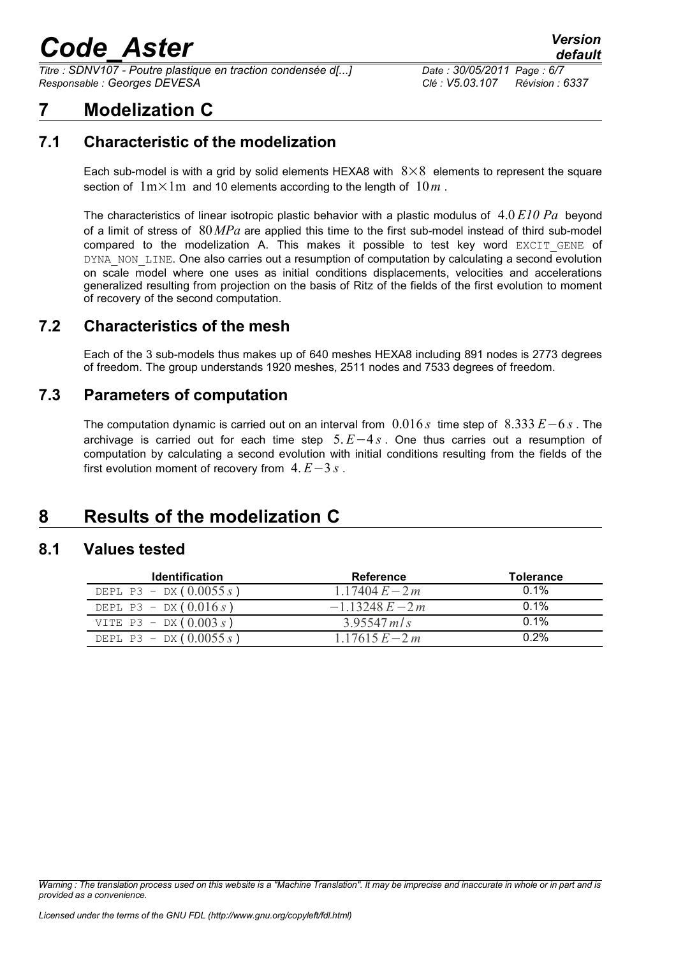*Titre : SDNV107 - Poutre plastique en traction condensée d[...] Date : 30/05/2011 Page : 6/7 Responsable : Georges DEVESA Clé : V5.03.107 Révision : 6337*

## **7 Modelization C**

### **7.1 Characteristic of the modelization**

Each sub-model is with a grid by solid elements HEXA8 with  $8\times8$  elements to represent the square section of  $1m \times 1m$  and 10 elements according to the length of  $10m$ .

The characteristics of linear isotropic plastic behavior with a plastic modulus of 4.0 *E10 Pa* beyond of a limit of stress of 80*MPa* are applied this time to the first sub-model instead of third sub-model compared to the modelization A. This makes it possible to test key word  $EXCIT GENE$  of DYNA\_NON\_LINE. One also carries out a resumption of computation by calculating a second evolution on scale model where one uses as initial conditions displacements, velocities and accelerations generalized resulting from projection on the basis of Ritz of the fields of the first evolution to moment of recovery of the second computation.

### **7.2 Characteristics of the mesh**

Each of the 3 sub-models thus makes up of 640 meshes HEXA8 including 891 nodes is 2773 degrees of freedom. The group understands 1920 meshes, 2511 nodes and 7533 degrees of freedom.

### **7.3 Parameters of computation**

The computation dynamic is carried out on an interval from 0.016 *s* time step of 8.333 *E*−6 *s* . The archivage is carried out for each time step 5. *E*−4 *s* . One thus carries out a resumption of computation by calculating a second evolution with initial conditions resulting from the fields of the first evolution moment of recovery from 4. *E*−3 *s* .

## **8 Results of the modelization C**

#### **8.1 Values tested**

| <b>Identification</b>     | Reference         | <b>Tolerance</b> |
|---------------------------|-------------------|------------------|
| DEPL P3 - DX $(0.0055 s)$ | 1.17404 $E - 2m$  | $0.1\%$          |
| DEPL P3 - DX $(0.016 s)$  | $-1.13248 E - 2m$ | $0.1\%$          |
| VITE P3 - DX $(0.003 s)$  | 3.95547 m/s       | $0.1\%$          |
| DEPL P3 - DX $(0.0055 s)$ | $1.17615 E - 2m$  | $0.2\%$          |

*Warning : The translation process used on this website is a "Machine Translation". It may be imprecise and inaccurate in whole or in part and is provided as a convenience.*